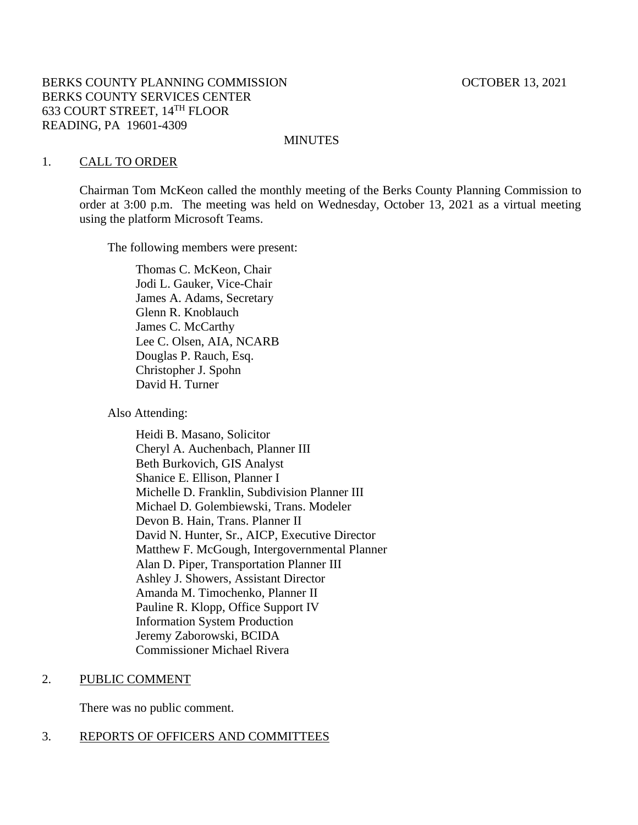### BERKS COUNTY PLANNING COMMISSION **COUNTY COUNTY PLANNING** COMMISSION BERKS COUNTY SERVICES CENTER 633 COURT STREET, 14TH FLOOR READING, PA 19601-4309

#### **MINUTES**

#### 1. CALL TO ORDER

Chairman Tom McKeon called the monthly meeting of the Berks County Planning Commission to order at 3:00 p.m. The meeting was held on Wednesday, October 13, 2021 as a virtual meeting using the platform Microsoft Teams.

The following members were present:

Thomas C. McKeon, Chair Jodi L. Gauker, Vice-Chair James A. Adams, Secretary Glenn R. Knoblauch James C. McCarthy Lee C. Olsen, AIA, NCARB Douglas P. Rauch, Esq. Christopher J. Spohn David H. Turner

Also Attending:

Heidi B. Masano, Solicitor Cheryl A. Auchenbach, Planner III Beth Burkovich, GIS Analyst Shanice E. Ellison, Planner I Michelle D. Franklin, Subdivision Planner III Michael D. Golembiewski, Trans. Modeler Devon B. Hain, Trans. Planner II David N. Hunter, Sr., AICP, Executive Director Matthew F. McGough, Intergovernmental Planner Alan D. Piper, Transportation Planner III Ashley J. Showers, Assistant Director Amanda M. Timochenko, Planner II Pauline R. Klopp, Office Support IV Information System Production Jeremy Zaborowski, BCIDA Commissioner Michael Rivera

### 2. PUBLIC COMMENT

There was no public comment.

# 3. REPORTS OF OFFICERS AND COMMITTEES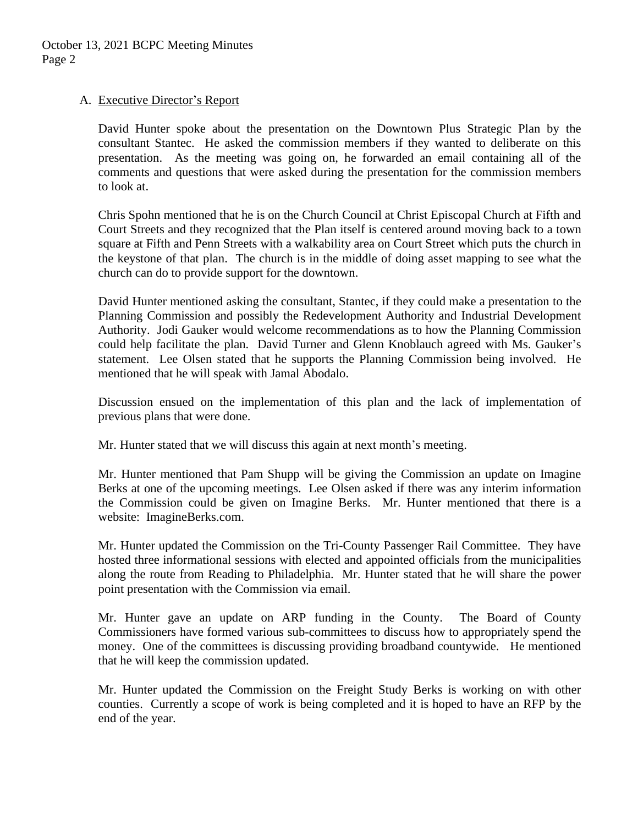# A. Executive Director's Report

David Hunter spoke about the presentation on the Downtown Plus Strategic Plan by the consultant Stantec. He asked the commission members if they wanted to deliberate on this presentation. As the meeting was going on, he forwarded an email containing all of the comments and questions that were asked during the presentation for the commission members to look at.

Chris Spohn mentioned that he is on the Church Council at Christ Episcopal Church at Fifth and Court Streets and they recognized that the Plan itself is centered around moving back to a town square at Fifth and Penn Streets with a walkability area on Court Street which puts the church in the keystone of that plan. The church is in the middle of doing asset mapping to see what the church can do to provide support for the downtown.

David Hunter mentioned asking the consultant, Stantec, if they could make a presentation to the Planning Commission and possibly the Redevelopment Authority and Industrial Development Authority. Jodi Gauker would welcome recommendations as to how the Planning Commission could help facilitate the plan. David Turner and Glenn Knoblauch agreed with Ms. Gauker's statement. Lee Olsen stated that he supports the Planning Commission being involved. He mentioned that he will speak with Jamal Abodalo.

Discussion ensued on the implementation of this plan and the lack of implementation of previous plans that were done.

Mr. Hunter stated that we will discuss this again at next month's meeting.

Mr. Hunter mentioned that Pam Shupp will be giving the Commission an update on Imagine Berks at one of the upcoming meetings. Lee Olsen asked if there was any interim information the Commission could be given on Imagine Berks. Mr. Hunter mentioned that there is a website: ImagineBerks.com.

Mr. Hunter updated the Commission on the Tri-County Passenger Rail Committee. They have hosted three informational sessions with elected and appointed officials from the municipalities along the route from Reading to Philadelphia. Mr. Hunter stated that he will share the power point presentation with the Commission via email.

Mr. Hunter gave an update on ARP funding in the County. The Board of County Commissioners have formed various sub-committees to discuss how to appropriately spend the money. One of the committees is discussing providing broadband countywide. He mentioned that he will keep the commission updated.

Mr. Hunter updated the Commission on the Freight Study Berks is working on with other counties. Currently a scope of work is being completed and it is hoped to have an RFP by the end of the year.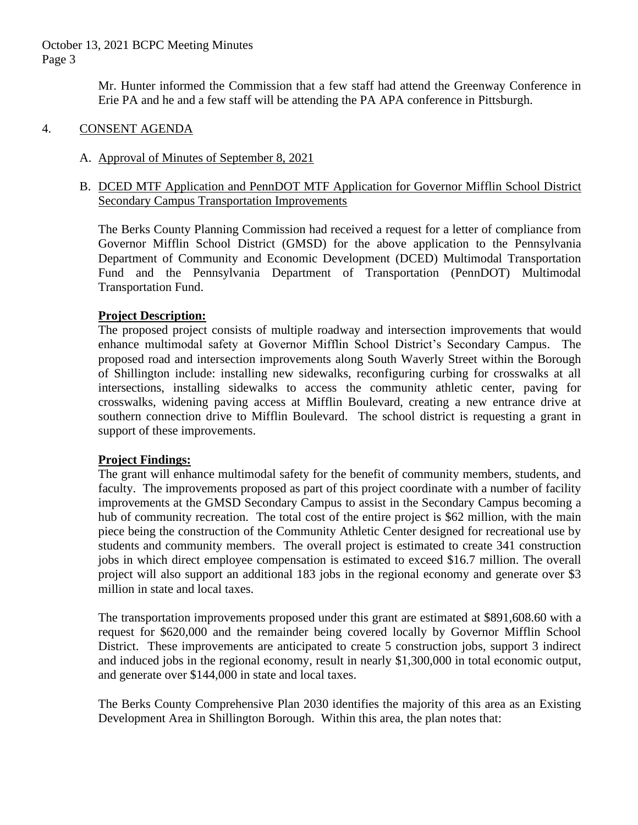October 13, 2021 BCPC Meeting Minutes Page 3

> Mr. Hunter informed the Commission that a few staff had attend the Greenway Conference in Erie PA and he and a few staff will be attending the PA APA conference in Pittsburgh.

### 4. CONSENT AGENDA

# A. Approval of Minutes of September 8, 2021

# B. DCED MTF Application and PennDOT MTF Application for Governor Mifflin School District Secondary Campus Transportation Improvements

The Berks County Planning Commission had received a request for a letter of compliance from Governor Mifflin School District (GMSD) for the above application to the Pennsylvania Department of Community and Economic Development (DCED) Multimodal Transportation Fund and the Pennsylvania Department of Transportation (PennDOT) Multimodal Transportation Fund.

# **Project Description:**

The proposed project consists of multiple roadway and intersection improvements that would enhance multimodal safety at Governor Mifflin School District's Secondary Campus. The proposed road and intersection improvements along South Waverly Street within the Borough of Shillington include: installing new sidewalks, reconfiguring curbing for crosswalks at all intersections, installing sidewalks to access the community athletic center, paving for crosswalks, widening paving access at Mifflin Boulevard, creating a new entrance drive at southern connection drive to Mifflin Boulevard. The school district is requesting a grant in support of these improvements.

### **Project Findings:**

The grant will enhance multimodal safety for the benefit of community members, students, and faculty. The improvements proposed as part of this project coordinate with a number of facility improvements at the GMSD Secondary Campus to assist in the Secondary Campus becoming a hub of community recreation. The total cost of the entire project is \$62 million, with the main piece being the construction of the Community Athletic Center designed for recreational use by students and community members. The overall project is estimated to create 341 construction jobs in which direct employee compensation is estimated to exceed \$16.7 million. The overall project will also support an additional 183 jobs in the regional economy and generate over \$3 million in state and local taxes.

The transportation improvements proposed under this grant are estimated at \$891,608.60 with a request for \$620,000 and the remainder being covered locally by Governor Mifflin School District. These improvements are anticipated to create 5 construction jobs, support 3 indirect and induced jobs in the regional economy, result in nearly \$1,300,000 in total economic output, and generate over \$144,000 in state and local taxes.

The Berks County Comprehensive Plan 2030 identifies the majority of this area as an Existing Development Area in Shillington Borough. Within this area, the plan notes that: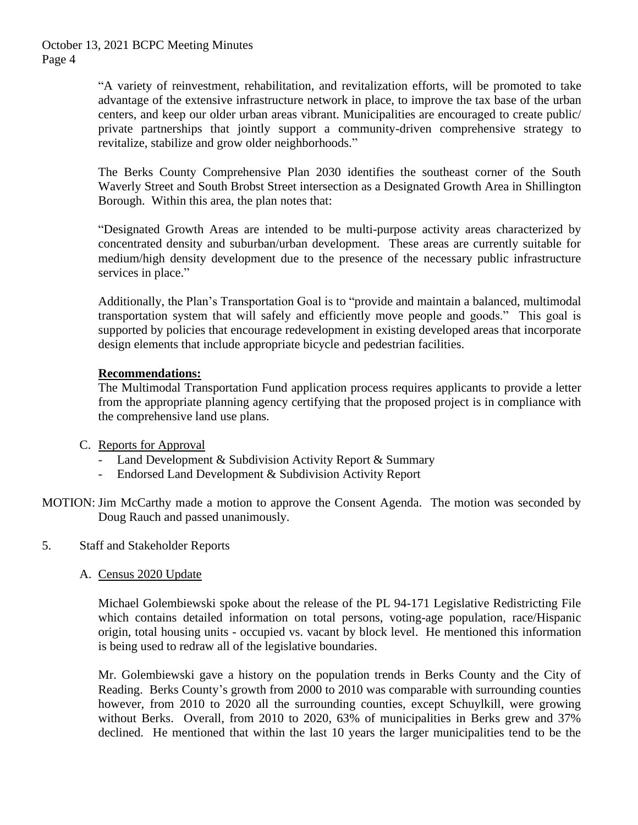"A variety of reinvestment, rehabilitation, and revitalization efforts, will be promoted to take advantage of the extensive infrastructure network in place, to improve the tax base of the urban centers, and keep our older urban areas vibrant. Municipalities are encouraged to create public/ private partnerships that jointly support a community-driven comprehensive strategy to revitalize, stabilize and grow older neighborhoods."

The Berks County Comprehensive Plan 2030 identifies the southeast corner of the South Waverly Street and South Brobst Street intersection as a Designated Growth Area in Shillington Borough. Within this area, the plan notes that:

"Designated Growth Areas are intended to be multi-purpose activity areas characterized by concentrated density and suburban/urban development. These areas are currently suitable for medium/high density development due to the presence of the necessary public infrastructure services in place."

Additionally, the Plan's Transportation Goal is to "provide and maintain a balanced, multimodal transportation system that will safely and efficiently move people and goods." This goal is supported by policies that encourage redevelopment in existing developed areas that incorporate design elements that include appropriate bicycle and pedestrian facilities.

# **Recommendations:**

The Multimodal Transportation Fund application process requires applicants to provide a letter from the appropriate planning agency certifying that the proposed project is in compliance with the comprehensive land use plans.

- C. Reports for Approval
	- Land Development & Subdivision Activity Report & Summary
	- Endorsed Land Development & Subdivision Activity Report
- MOTION: Jim McCarthy made a motion to approve the Consent Agenda. The motion was seconded by Doug Rauch and passed unanimously.
- 5. Staff and Stakeholder Reports
	- A. Census 2020 Update

Michael Golembiewski spoke about the release of the PL 94-171 Legislative Redistricting File which contains detailed information on total persons, voting-age population, race/Hispanic origin, total housing units - occupied vs. vacant by block level. He mentioned this information is being used to redraw all of the legislative boundaries.

Mr. Golembiewski gave a history on the population trends in Berks County and the City of Reading. Berks County's growth from 2000 to 2010 was comparable with surrounding counties however, from 2010 to 2020 all the surrounding counties, except Schuylkill, were growing without Berks. Overall, from 2010 to 2020, 63% of municipalities in Berks grew and 37% declined. He mentioned that within the last 10 years the larger municipalities tend to be the